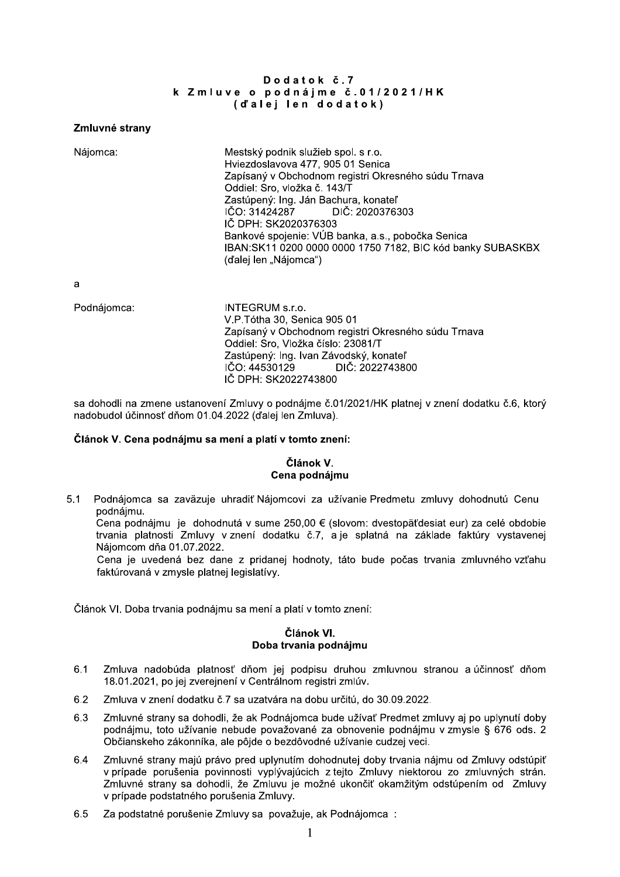### Dodatok č.7 k Zmluve o podnájme č.01/2021/HK (d'alej len dodatok)

#### Zmluvné strany

Nájomca:

Mestský podnik služieb spol. s r.o. Hviezdoslavova 477, 905 01 Senica Zapísaný v Obchodnom registri Okresného súdu Trnava Oddiel: Sro, vložka č. 143/T Zastúpený: Ing. Ján Bachura, konateľ IČO: 31424287 DIČ: 2020376303 IČ DPH: SK2020376303 Bankové spojenie: VÚB banka, a.s., pobočka Senica IBAN:SK11 0200 0000 0000 1750 7182, BIC kód banky SUBASKBX (ďalej len "Nájomca")

a

| Podnájomca: | INTEGRUM s.r.o.<br>V.P.Tótha 30, Senica 905 01<br>Zapísaný v Obchodnom registri Okresného súdu Trnava<br>Oddiel: Sro, Vložka číslo: 23081/T<br>Zastúpený: Ing. Ivan Závodský, konateľ<br>IČO: 44530129 DIČ: 2022743800<br>IČ DPH: SK2022743800 |
|-------------|------------------------------------------------------------------------------------------------------------------------------------------------------------------------------------------------------------------------------------------------|
|             |                                                                                                                                                                                                                                                |

sa dohodli na zmene ustanovení Zmluvy o podnájme č.01/2021/HK platnej v znení dodatku č.6, ktorý nadobudol účinnosť dňom 01.04.2022 (ďalej len Zmluva).

## Článok V. Cena podnájmu sa mení a platí v tomto znení:

# Článok V. Cena podnájmu

 $5.1$ Podnájomca sa zaväzuje uhradiť Nájomcovi za užívanie Predmetu zmluvy dohodnutú Cenu podnájmu.

Cena podnájmu je dohodnutá v sume 250.00 € (slovom: dvestopäťdesiat eur) za celé obdobie trvania platnosti Zmluvy v znení dodatku č.7. a je splatná na základe faktúry vystavenej Náiomcom dňa 01.07.2022.

Cena je uvedená bez dane z pridanej hodnoty, táto bude počas trvania zmluvného vzťahu faktúrovaná v zmysle platnej legislatívy.

Článok VI. Doba trvania podnájmu sa mení a platí v tomto znení:

# Článok VI. Doba trvania podnájmu

- Zmluva nadobúda platnosť dňom jej podpisu druhou zmluvnou stranou a účinnosť dňom  $6.1$ 18.01.2021, po jej zverejnení v Centrálnom registri zmlúv.
- $6.2$ Zmluva v znení dodatku č.7 sa uzatvára na dobu určitú, do 30.09.2022.
- 6.3 Zmluvné strany sa dohodli, že ak Podnájomca bude užívať Predmet zmluvy aj po uplynutí doby podnájmu, toto užívanie nebude považované za obnovenie podnájmu v zmysle § 676 ods. 2 Občianskeho zákonníka, ale pôjde o bezdôvodné užívanie cudzej veci.
- Zmluvné strany majú právo pred uplynutím dohodnutej doby trvania nájmu od Zmluvy odstúpiť 6.4 v prípade porušenia povinnosti vyplývajúcich z tejto Zmluvy niektorou zo zmluvných strán. Zmluvné strany sa dohodli, že Zmluvu je možné ukončiť okamžitým odstúpením od Zmluvy v prípade podstatného porušenia Zmluvy.
- 6.5 Za podstatné porušenie Zmluvy sa považuje, ak Podnájomca :